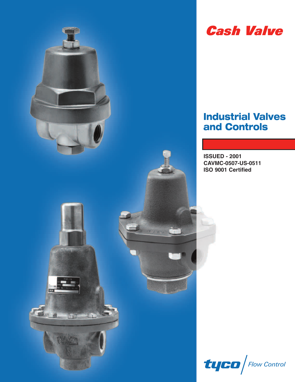

## **Cash Valve**

### **Industrial Valves and Controls**

**ISSUED - 2001 CAVMC-0507-US-0511 ISO 9001 Certified**

 $t$ u $\boldsymbol{E}$ a $\int$ Flow Control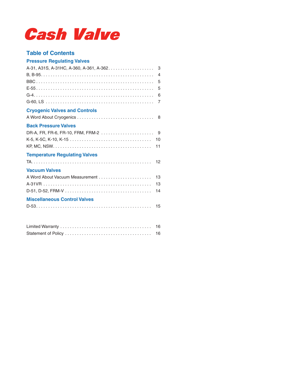# **Cash Valve**

### **Table of Contents**

### **Pressure Regulating Valves**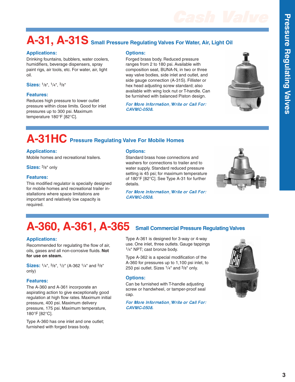## **A-31, A-31S Small Pressure Regulating Valves For Water, Air, Light Oil**

### **Applications:**

Drinking fountains, bubblers, water coolers, humidifiers, beverage dispensers, spray paint rigs, air tools, etc. For water, air, light oil.

**Sizes:** 1/8", 1/4", 3/8"

### **Features:**

Reduces high pressure to lower outlet pressure within close limits. Good for inlet pressures up to 300 psi. Maximum temperature 180°F [82°C].

### **Options:**

Forged brass body. Reduced pressure ranges from 2 to 180 psi. Available with composition seat, BUNA-N, in two or three way valve bodies, side inlet and outlet, and side gauge connection (A-31S). Fillister or hex head adjusting screw standard; also available with wing lock nut or T-handle. Can be furnished with balanced Piston design.

For More Information,Write or Call For: CAVMC-0508.



# **A-31HC Pressure Regulating Valve For Mobile Homes**

### **Applications:**

Mobile homes and recreational trailers.

**Sizes:** 3/8" only

### **Features:**

This modified regulator is specially designed for mobile homes and recreational trailer installations where space limitations are important and relatively low capacity is required.

### **Options:**

Standard brass hose connections and washers for connections to trailer and to water supply. Standard reduced pressure setting is 45 psi; for maximum temperature of 180°F [82°C]. See Type A-31 for further details.

For More Information,Write or Call For: CAVMC-0508.



## **A-360, A-361, A-365 Small Commercial Pressure Regulating Valves**

### **Applications:**

Recommended for regulating the flow of air, oils, gases and all non-corrosive fluids. **Not for use on steam.**

**Sizes:** 1/4", 3/8", 1/2" (A-362 1/4" and 3/8" only)

### **Features:**

The A-360 and A-361 incorporate an aspirating action to give exceptionally good regulation at high flow rates. Maximum initial pressure, 400 psi. Maximum delivery pressure, 175 psi. Maximum temperature, 180°F [82°C].

Type A-360 has one inlet and one outlet; furnished with forged brass body.

Type A-361 is designed for 3-way or 4-way use. One inlet, three outlets. Gauge tappings 1/4" NPT; cast bronze body.

Type A-362 is a special modification of the A-360 for pressures up to 1,100 psi inlet, to 250 psi outlet. Sizes 1/4" and 3/8" only.

### **Options:**

Can be furnished with T-handle adjusting screw or handwheel, or tamper-proof seal cap.

For More Information,Write or Call For: CAVMC-0508.



**s**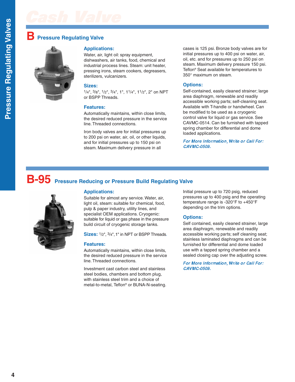### **Pressure Regulating Valve**



### **Applications:**

Water, air, light oil: spray equipment, dishwashers, air tanks, food, chemical and industrial process lines. Steam: unit heater, pressing irons, steam cookers, degreasers, sterilizers, vulcanizers.

### **Sizes:**

1/4", 3/8", 1/2", 3/4", 1", 11/4", 11/2", 2" on NPT or BSPP Threads.

### **Features:**

Automatically maintains, within close limits, the desired reduced pressure in the service line. Threaded connections.

Iron body valves are for initial pressures up to 200 psi on water, air, oil, or other liquids, and for initial pressures up to 150 psi on steam. Maximum delivery pressure in all

cases is 125 psi. Bronze body valves are for initial pressures up to 400 psi on water, air, oil, etc. and for pressures up to 250 psi on steam. Maximum delivery pressure 150 psi. Teflon® Seat available for temperatures to 350° maximum on steam.

### **Options:**

Self-contained, easily cleaned strainer; large area diaphragm, renewable and readily accessible working parts; self-cleaning seat. Available with T-handle or handwheel. Can be modified to be used as a cryogenic control valve for liquid or gas service. See CAVMC-0514. Can be furnished with tapped spring chamber for differential and dome loaded applications.

For More Information,Write or Call For: CAVMC-0509.

# **B-95 Pressure Reducing or Pressure Build Regulating Valve**



### **Applications:**

Suitable for almost any service. Water, air, light oil, steam: suitable for chemical, food, pulp & paper industry, utility lines, and specialist OEM applications. Cryogenic: suitable for liquid or gas phase in the pressure build circuit of cryogenic storage tanks.

**Sizes:** 1/2", 3/4",1" in NPT or BSPP Threads.

### **Features:**

Automatically maintains, within close limits, the desired reduced pressure in the service line. Threaded connections.

Investment cast carbon steel and stainless steel bodies, chambers and bottom plug, with stainless steel trim and a choice of metal-to-metal, Teflon® or BUNA-N-seating. Initial pressure up to 720 psig, reduced pressures up to 400 psig and the operating temperature range is -320°F to +450°F depending on the trim options.

### **Options:**

Self contained, easily cleaned strainer, large area diaphragm, renewable and readily accessible working parts; self cleaning seat; stainless laminated diaphragms and can be furnished for differential and dome loaded use with a tapped spring chamber and a sealed closing cap over the adjusting screw.

For More Information,Write or Call For: CAVMC-0509.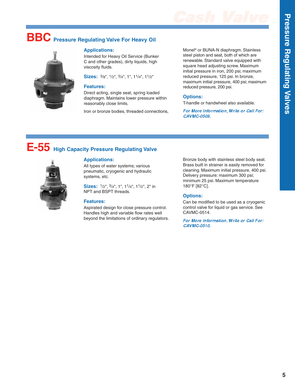# **BBC Pressure Regulating Valve For Heavy Oil**



### **Applications:**

Intended for Heavy Oil Service (Bunker C and other grades), dirty liquids, high viscosity fluids.

**Sizes:** 3/8", 1/2", 3/4", 1", 11/4", 11/2"

#### **Features:**

Direct acting, single seat, spring loaded diaphragm. Maintains lower pressure within reasonably close limits.

Iron or bronze bodies, threaded connections,

Monel® or BUNA-N diaphragm. Stainless steel piston and seat, both of which are renewable. Standard valve equipped with square head adjusting screw. Maximum initial pressure in iron, 200 psi; maximum reduced pressure, 125 psi. In bronze, maximum initial pressure, 400 psi; maximum reduced pressure, 200 psi.

### **Options:**

T-handle or handwheel also available.

For More Information,Write or Call For: CAVMC-0509.

### **E-55 High Capacity Pressure Regulating Valve**



All types of water systems; various pneumatic, cryogenic and hydraulic systems, etc.

**Sizes:** 1/2", 3/4", 1", 11/4", 11/2", 2" in NPT and BSPT threads.

### **Features:**

Aspirated design for close pressure control. Handles high and variable flow rates well beyond the limitations of ordinary regulators. Bronze body with stainless steel body seat. Brass built in strainer is easily removed for cleaning. Maximum initial pressure, 400 psi. Delivery pressure: maximum 300 psi; minimum 25 psi. Maximum temperature 180°F [82°C].

### **Options:**

Can be modified to be used as a cryogenic control valve for liquid or gas service. See CAVMC-0514.

For More Information,Write or Call For: CAVMC-0510.

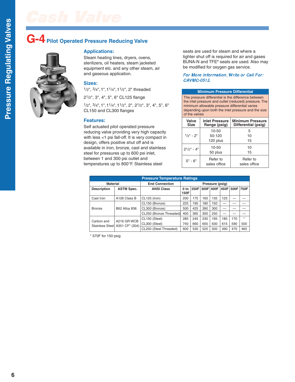## **G-4 Pilot Operated Pressure Reducing Valve**



### **Applications:**

Steam heating lines, dryers, ovens, sterilizers, oil heaters, steam jacketed equipment etc. and any other steam, air and gaseous application.

### **Sizes:**

1/2", 3/4",1",11/4",11/2", 2" threaded

21/2", 3", 4", 5", 6" CL125 flange

1/2", 3/4",1",11/4",11/2", 2", 21/2", 3", 4", 5", 6" CL150 and CL300 flanges

### **Features:**

Self actuated pilot operated pressure reducing valve providing very high capacity with less <1 psi fall-off. It is very compact in design, offers positive shut off and is available in iron, bronze, cast and stainless steel for pressures up to 600 psi inlet, between 1 and 300 psi outlet and temperatures up to 800°F. Stainless steel

seats are used for steam and where a tighter shut off is required for air and gases BUNA-N and TFE® seats are used. Also may be modified for oxygen gas service.

### For More Information,Write or Call For: CAVMC-0512.

#### **Minimum Pressure Differential**

The pressure differential is the difference between the inlet pressure and outlet (reduced) pressure. The minimum allowable pressure differential varies depending upon both the inlet pressure and the size of the valves

| Valve<br><b>Size</b> | <b>Inlet Pressure</b><br>Range (psig) | <b>Minimum Pressure</b><br>Differential (psig) |
|----------------------|---------------------------------------|------------------------------------------------|
|                      | 10-50                                 | 5                                              |
| $1/2$ " - $2$ "      | 50-120                                | 10                                             |
|                      | 120 plus                              | 15                                             |
| $2^{1/2}$ " - 4"     | $10 - 50$                             | 10                                             |
|                      | 50 plus                               | 15                                             |
| $5" - 6"$            | Refer to<br>sales office              | Refer to<br>sales office                       |

| <b>Pressure Temperature Ratings</b> |                                               |                         |                         |     |                |     |       |           |         |
|-------------------------------------|-----------------------------------------------|-------------------------|-------------------------|-----|----------------|-----|-------|-----------|---------|
| <b>Material</b>                     |                                               | <b>End Connection</b>   | Pressure (psig)         |     |                |     |       |           |         |
| <b>Description</b>                  | <b>ASTM Spec.</b>                             | <b>ANSI Class</b>       | 0 <sub>to</sub><br>150F |     | 250F 300F 400F |     | 1450F | 500F 750F |         |
| Cast Iron                           | A126 Class B                                  | CL125 (Iron)            | 200                     | 175 | 160            | 135 | 125   |           |         |
| <b>Bronze</b>                       | <b>B62 Alloy 836</b>                          | CL150 (Bronze)          | 225                     | 195 | 180            | 150 |       |           |         |
|                                     |                                               | CL300 (Bronze)          | 500                     | 425 | 390            | 300 |       |           |         |
|                                     |                                               | CL250 (Bronze Threaded) | 400                     | 365 | 300            | 250 |       |           |         |
| Carbon and                          | A216 GR WCB<br>Stainless Steel A351 CF* (304) | CL150 (Steel)           | 285                     | 245 | 230            | 195 | 185   | 170       | $\star$ |
|                                     |                                               | CL300 (Steel)           | 740                     | 660 | 655            | 630 | 615   | 590       | 500     |
|                                     |                                               | CL250 (Steel Threaded)  | 600                     | 530 | 525            | 500 | 490   | 470       | 460     |

\* 570F for 150 psig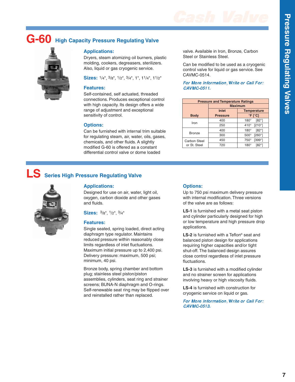

## **G-60 High Capacity Pressure Regulating Valve**



### **Applications:**

Dryers, steam atomizing oil burners, plastic molding, cookers, degreasers, sterilizers. Also, liquid or gas cryogenic service.

**Sizes:** 1/4", 3/8", 1/2", 3/4", 1", 11/4", 11/2"

### **Features:**

Self-contained, self actuated, threaded connections. Produces exceptional control with high capacity. Its design offers a wide range of adjustment and exceptional sensitivity of control.

### **Options:**

Can be furnished with internal trim suitable for regulating steam, air, water, oils, gases, chemicals, and other fluids. A slightly modified G-60 is offered as a constant differential control valve or dome loaded

valve. Available in Iron, Bronze, Carbon Steel or Stainless Steel.

Can be modified to be used as a cryogenic control valve for liquid or gas service. See CAVMC-0514.

### For More Information,Write or Call For: CAVMC-0511.

| <b>Pressure and Temperature Ratings</b> |                 |                              |  |  |  |  |  |
|-----------------------------------------|-----------------|------------------------------|--|--|--|--|--|
|                                         | <b>Maximum</b>  |                              |  |  |  |  |  |
|                                         | Inlet           | <b>Temperature</b>           |  |  |  |  |  |
| <b>Body</b>                             | <b>Pressure</b> | $\degree$ F [ $\degree$ C]   |  |  |  |  |  |
| Iron                                    | 400             | $[82^\circ]$<br>$180^\circ$  |  |  |  |  |  |
|                                         | 250             | $[210^\circ]$<br>$410^\circ$ |  |  |  |  |  |
| <b>Bronze</b>                           | 400             | $180^\circ$<br>$[82^\circ]$  |  |  |  |  |  |
|                                         | 300             | $[260^\circ]$<br>$500^\circ$ |  |  |  |  |  |
| <b>Carbon Steel</b>                     | 450             | [399°]<br>$750^\circ$        |  |  |  |  |  |
| or St. Steel                            | 720             | $180^\circ$<br>[82°]         |  |  |  |  |  |

### **LS Series High Pressure Regulating Valve**



### **Applications:**

Designed for use on air, water, light oil, oxygen, carbon dioxide and other gases and fluids.

**Sizes:** 3/8", 1/2", 3/4"

#### **Features:**

Single seated, spring loaded, direct acting diaphragm type regulator. Maintains reduced pressure within reasonably close limits regardless of inlet fluctuations. Maximum initial pressure up to 2,400 psi. Delivery pressure: maximum, 500 psi; minimum, 40 psi.

Bronze body, spring chamber and bottom plug; stainless steel piston/piston assemblies, cylinders, seat ring and strainer screens; BUNA-N diaphragm and O-rings. Self-renewable seat ring may be flipped over and reinstalled rather than replaced.

### **Options:**

Up to 750 psi maximum delivery pressure with internal modification. Three versions of the valve are as follows:

**LS-1** is furnished with a metal seat piston and cylinder particularly designed for high or low temperature and high pressure drop applications.

**LS-2** is furnished with a Teflon® seat and balanced piston design for applications requiring higher capacities and/or tight shut-off. The balanced design assures close control regardless of inlet pressure fluctuations.

**LS-3** is furnished with a modified cylinder and no strainer screen for applications involving heavy or high viscosity fluids.

**LS-4** is furnished with construction for cryogenic service on liquid or gas.

For More Information,Write or Call For: CAVMC-0513.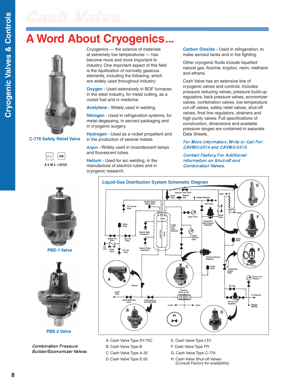## **A Word About Cryogenics...**



### **C-776 Safety Relief Valve**







**PBE-2 Valve**

Combination Pressure Builder/Economizer Valves

Cryogenics — the science of materials at extremely low temperatures — has become more and more important to industry. One important aspect of this field is the liquification of normally gaseous elements, including the following, which are widely used throughout industry:

**Oxygen -** Used extensively in BOF furnaces in the steel industry, for metal cutting, as a rocket fuel and in medicine.

**Acetylene -** Widely used in welding.

**Nitrogen -** Used in refrigeration systems, for metal degassing, in aerosol packaging and in cryogenic surgery.

**Hydrogen -** Used as a rocket propellant and in the production of several metals.

**Argon -** Widely used in incandescent lamps and fluorescent tubes.

**Helium -** Used for arc welding, in the manufacture of electron tubes and in cryogenic research.

**Carbon Dioxide -** Used in refrigeration, to make aerosol tanks and in fire fighting.

Other cryogenic fluids include liquefied natural gas, fluorine, krypton, neon, methane and ethane.

Cash Valve has an extensive line of cryogenic valves and controls. Includes pressure reducing valves, pressure build-up regulators, back pressure valves, economizer valves, combination valves, low temperature cut-off valves, safety relief valves, shut-off valves, final line regulators, strainers and high purity valves. Full specifications of construction, dimensions and available pressure ranges are contained in separate Data Sheets.

### For More Information,Write or Call For: CAVMC-0514 and CAVMC-0515.

Contact Factory For Additional Information on Shut-off and Combination Valves.



A. Cash Valve Type SY-70C B. Cash Valve Type B C. Cash Valve Type A-32

- D. Cash Valve Type E-55
- E. Cash Valve Type LTC
- F. Cash Valve Type FR
- G. Cash Valve Type C-776
- H. Cash Valve Shut-off Valves (Consult Factory for availability)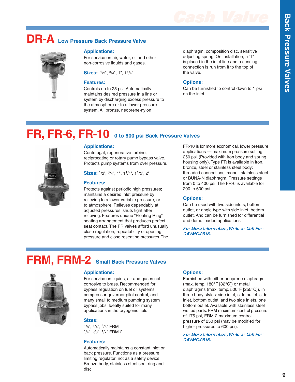## **DR-A Low Pressure Back Pressure Valve**

### **Applications:**

For service on air, water, oil and other non-corrosive liquids and gases.

**Sizes:** 1/2", 3/4", 1", 11/4"

### **Features:**

Controls up to 25 psi. Automatically maintains desired pressure in a line or system by discharging excess pressure to the atmosphere or to a lower pressure system. All bronze, neoprene-nylon

diaphragm, composition disc, sensitive adjusting spring. On installation, a "T" is placed in the inlet line and a sensing connection is run from it to the top of the valve.

### **Options:**

Can be furnished to control down to 1 psi on the inlet.

## **FR, FR-6, FR-10 0 to 600 psi Back Pressure Valves**



Centrifugal, regenerative turbine, reciprocating or rotary pump bypass valve. Protects pump systems from over pressure.

**Sizes:** 1/2", 3/4", 1", 11/4", 11/2", 2"

#### **Features:**

Protects against periodic high pressures; maintains a desired inlet pressure by relieving to a lower variable pressure, or to atmosphere. Relieves dependably at adiusted pressures; shuts tight after relieving. Features unique "Floating Ring" seating arrangement that produces perfect seat contact. The FR valves afford unusually close regulation, repeatability of opening pressure and close reseating pressures.The

FR-10 is for more economical, lower pressure applications — maximum pressure setting 250 psi. (Provided with iron body and spring housing only). Type FR is available in iron, bronze, steel or stainless steel body; threaded connections; monel, stainless steel or BUNA-N diaphragm. Pressure settings from 0 to 400 psi. The FR-6 is available for 200 to 600 psi.

### **Options:**

Can be used with two side inlets, bottom outlet, or angle type with side inlet, bottom outlet. And can be furnished for differential and dome loaded applications.

For More Information, Write or Call For: CAVMC-0516.

### **FRM, FRM-2 Small Back Pressure Valves**



For service on liquids, air and gases not corrosive to brass. Recommended for bypass regulation on fuel oil systems, compressor governor pilot control, and many small to medium pumping system bypass jobs. Ideally suited for many applications in the cryogenic field.

### **Sizes:**

1/8", 1/4", 3/8" FRM 1/4", 3/8", 1/2" FRM-2

### **Features:**

Automatically maintains a constant inlet or back pressure. Functions as a pressure limiting regulator, not as a safety device. Bronze body, stainless steel seat ring and disc.

### **Options:**

Furnished with either neoprene diaphragm (max. temp. 180°F [82°C]) or metal diaphragms (max. temp. 500°F [255°C]), in three body styles: side inlet, side outlet; side inlet, bottom outlet; and two side inlets, one bottom outlet. Available with stainless steel wetted parts. FRM maximum control pressure of 175 psi, FRM-2 maximum control pressure of 250 psi (may be modified for higher pressures to 600 psi).

For More Information,Write or Call For: CAVMC-0516.



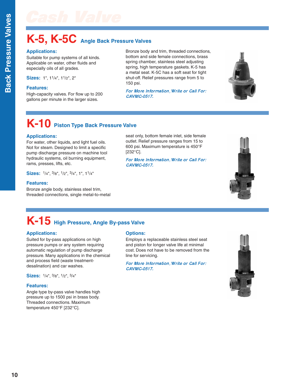**B**

## **K-5, K-5C Angle Back Pressure Valves**

### **Applications:**

Suitable for pump systems of all kinds. Applicable on water, other fluids and especially oils of all grades.

**Sizes:** 1", 11/4", 11/2", 2"

### **Features:**

High-capacity valves. For flow up to 200 gallons per minute in the larger sizes.

Bronze body and trim, threaded connections, bottom and side female connections, brass spring chamber, stainless steel adjusting spring, high temperature gaskets. K-5 has a metal seat. K-5C has a soft seat for tight shut-off. Relief pressures range from 5 to 150 psi.

For More Information,Write or Call For: CAVMC-0517.



## **K-10 Piston Type Back Pressure Valve**

### **Applications:**

For water, other liquids, and light fuel oils. Not for steam. Designed to limit a specific pump discharge pressure on machine tool hydraulic systems, oil burning equipment, rams, presses, lifts, etc.

**Sizes:** 1/4", 3/8", 1/2", 3/4", 1", 11/4"

### **Features:**

Bronze angle body, stainless steel trim, threaded connections, single metal-to-metal seat only, bottom female inlet, side female outlet. Relief pressure ranges from 15 to 600 psi. Maximum temperature is 450°F [232°C].

For More Information,Write or Call For: CAVMC-0517.



# **K-15 High Pressure, Angle By-pass Valve**

### **Applications:**

Suited for by-pass applications on high pressure pumps or any system requiring automatic regulation of pump discharge pressure. Many applications in the chemical and process field (waste treatmentdesalination) and car washes.

**Sizes:** 1/4", 3/8", 1/2", 3/4"

### **Features:**

Angle type by-pass valve handles high pressure up to 1500 psi in brass body. Threaded connections. Maximum temperature 450°F [232°C].

### **Options:**

Employs a replaceable stainless steel seat and piston for longer valve life at minimal cost. Does not have to be removed from the line for servicing.

For More Information,Write or Call For: CAVMC-0517.

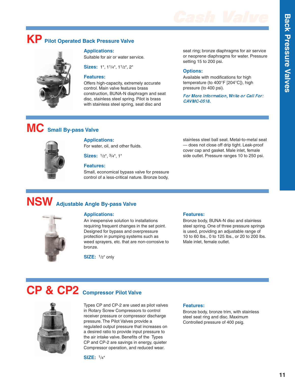# **Cash Valve B**

## **KP Pilot Operated Back Pressure Valve**

### **Applications:**

Suitable for air or water service.

**Sizes:** 1", 11/4", 11/2", 2"

### **Features:**

Offers high-capacity, extremely accurate control. Main valve features brass construction, BUNA-N diaphragm and seat disc, stainless steel spring. Pilot is brass with stainless steel spring, seat disc and

seat ring; bronze diaphragms for air service or neoprene diaphragms for water. Pressure setting 15 to 200 psi.

### **Options:**

Available with modifications for high temperature (to 400°F [204°C]), high pressure (to 400 psi).

For More Information,Write or Call For: CAVMC-0518.

## **MC Small By-pass Valve**

### **Applications:**

For water, oil, and other fluids.

**Sizes:** 1/2", 3/4", 1"

### **Features:**

Small, economical bypass valve for pressure control of a less-critical nature. Bronze body,

stainless steel ball seat. Metal-to-metal seat — does not close off drip tight. Leak-proof cover cap and gasket. Male inlet, female side outlet. Pressure ranges 10 to 250 psi.

## **NSW Adjustable Angle By-pass Valve**

### **Applications:**

An inexpensive solution to installations requiring frequent changes in the set point. Designed for bypass and overpressure protection in pumping systems such as weed sprayers, etc. that are non-corrosive to bronze.

**SIZE:** 1/2" only

### **Features:**

Bronze body, BUNA-N disc and stainless steel spring. One of three pressure springs is used, providing an adjustable range of 10 to 60 lbs., 0 to 125 lbs., or 20 to 200 lbs. Male inlet, female outlet.

## **CP & CP2 Compressor Pilot Valve**

Types CP and CP-2 are used as pilot valves in Rotary Screw Compressors to control receiver pressure or compressor discharge pressure. The Pilot Valves provide a regulated output pressure that increases on a desired ratio to provide input pressure to the air intake valve. Benefits of the Types CP and CP-2 are savings in energy, quieter Compressor operation, and reduced wear.



### **Features:**

Bronze body, bronze trim, with stainless steel seat ring and disc. Maximum Controlled pressure of 400 psig.





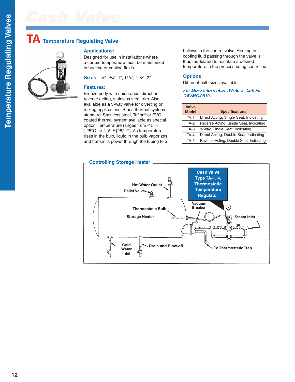### **TA Temperature Regulating Valve**



### **Applications:**

Designed for use in installations where a certain temperature must be maintained in heating or cooling fluids.

**Sizes:** 1/2", 3/4", 1", 11/4", 11/2", 2"

### **Features:**

Bronze body with union ends, direct or reverse acting, stainless steel trim. Also available as a 3-way valve for diverting or mixing applications. Brass thermal systems standard. Stainless steel, Teflon® or PVC coated thermal system available as special option. Temperature ranges from -15°F [-25°C] to 415°F [252°C]. As temperature rises in the bulb, liquid in the bulb vaporizes and transmits power through the tubing to a bellows in the control valve. Heating or cooling fluid passing through the valve is thus modulated to maintain a desired temperature in the process being controlled.

### **Options:**

Different bulb sizes available.

For More Information,Write or Call For: CAVMC-0519.

| <b>Valve</b><br><b>Model</b> | <b>Specifications</b>                   |
|------------------------------|-----------------------------------------|
| $TA-1$                       | Direct Acting, Single Seat, Indicating  |
| TA-2                         | Reverse Acting, Single Seat, Indicating |
| $TA-3$                       | 3-Way, Single Seat, Indicating          |
| $TA-4$                       | Direct Acting, Double Seat, Indicating  |
| <b>TA-5</b>                  | Reverse Acting, Double Seat, Indicating |

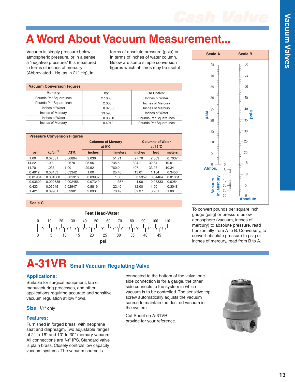

## **A Word About Vacuum Measurement.**

Vacuum is simply pressure below atmospheric pressure, or in a sense a "negative pressure." It is measured in terms of inches of mercury (Abbreviated - Hg, as in 21" Hg), in

terms of absolute pressure (psia) or in terms of inches of water column. Below are some simple conversion figures which at times may be useful

| <b>Vacuum Conversion Figures</b> |         |                        |  |  |  |  |  |  |
|----------------------------------|---------|------------------------|--|--|--|--|--|--|
| Multiply:                        | By:     | To Obtain:             |  |  |  |  |  |  |
| Pounds Per Square Inch           | 27.686  | Inches of Water        |  |  |  |  |  |  |
| Pounds Per Square Inch           | 2.036   | Inches of Mercury      |  |  |  |  |  |  |
| Inches of Water                  | 0.07355 | Inches of Mercury      |  |  |  |  |  |  |
| Inches of Mercury                | 13.596  | Inches of Water        |  |  |  |  |  |  |
| Inches of Water                  | 0.03613 | Pounds Per Square Inch |  |  |  |  |  |  |
| Inches of Mercury                | 0.4912  | Pounds Per Square Inch |  |  |  |  |  |  |

| Multiply:                                                             |                                  | By:                                |                                                 | To Obtain:        |                                              |         |        |  |
|-----------------------------------------------------------------------|----------------------------------|------------------------------------|-------------------------------------------------|-------------------|----------------------------------------------|---------|--------|--|
|                                                                       | Pounds Per Square Inch<br>27.686 |                                    | Inches of Water                                 |                   |                                              |         |        |  |
|                                                                       | Pounds Per Square Inch           | 2.036                              |                                                 | Inches of Mercury |                                              |         |        |  |
|                                                                       | <b>Inches of Water</b>           |                                    |                                                 | 0.07355           | Inches of Mercury                            |         |        |  |
|                                                                       | <b>Inches of Mercury</b>         |                                    | 13.596                                          |                   | Inches of Water                              |         |        |  |
|                                                                       | Inches of Water                  |                                    | 0.03613                                         |                   | Pounds Per Square Inch                       |         |        |  |
|                                                                       | Inches of Mercury                |                                    |                                                 | 0.4912            | Pounds Per Square Inch                       |         |        |  |
|                                                                       |                                  |                                    |                                                 |                   |                                              |         |        |  |
|                                                                       |                                  | <b>Pressure Conversion Figures</b> |                                                 |                   |                                              |         |        |  |
|                                                                       |                                  |                                    | <b>Columns of Mercury</b><br>at $0^{\circ}$ C   |                   | <b>Columns of Water</b><br>at $15^{\circ}$ C |         |        |  |
| psi                                                                   | kg/cm <sup>2</sup>               | ATM.                               | inches                                          | millimeters       | <i>inches</i>                                | feet    | meters |  |
| 1.00                                                                  | 0.07031                          | 0.06804                            | 2.036                                           | 51.71             | 27.70                                        | 2.309   | 0.7037 |  |
| 14.22                                                                 | 1.00                             | 0.9678                             | 28.96                                           | 735.5             | 394.1                                        | 32.84   | 10.01  |  |
| 14.70                                                                 | 1.033                            | 1.00                               | 29.92                                           | 760.0             | 407.1                                        | 33.93   | 10.34  |  |
| 0.4912                                                                | 0.03453                          | 0.03342                            | 1.00                                            | 25.40             | 13.61                                        | 1.134   | 0.3456 |  |
| 0.01934                                                               | 0.001360                         | 0.001316                           | 0.03937<br>0.04464<br>1.00<br>0.5357<br>0.01361 |                   |                                              |         |        |  |
| 0.03609                                                               | 0.002538                         | 0.002456                           | 0.07349                                         | 1.367             | 1.00                                         | 0.08333 | 0.0254 |  |
| 0.4331                                                                | 0.03045                          | 0.02947                            | 0.8819                                          | 22.40             | 12.00                                        | 1.00    | 0.3048 |  |
| 1.421                                                                 | 0.09901                          | 0.09901                            | 2.893                                           | 73.49             | 39.37                                        | 3.281   | 1.00   |  |
|                                                                       |                                  |                                    |                                                 |                   |                                              |         |        |  |
| <b>Scale C</b>                                                        |                                  |                                    |                                                 |                   |                                              |         |        |  |
| <b>Feet Head-Water</b>                                                |                                  |                                    |                                                 |                   |                                              |         |        |  |
|                                                                       |                                  |                                    |                                                 |                   |                                              |         |        |  |
| 10<br>20<br>30<br>40<br>50<br>60<br>80<br>90<br>100<br>110<br>0<br>70 |                                  |                                    |                                                 |                   |                                              |         |        |  |
|                                                                       |                                  |                                    |                                                 |                   |                                              |         |        |  |
|                                                                       | 5                                | 15<br>10                           | 20                                              | 25<br>30          | 35<br>40                                     | 45      |        |  |
|                                                                       |                                  |                                    |                                                 |                   |                                              |         |        |  |





To convert pounds per square inch gauge (psig) or pressure below atmosphere (vacuum, inches of mercury) to absolute pressure, read horizontally from A to B. Conversely, to convert absolute pressure to psig or inches of mercury, read from B to A.

# **A-31VR Small Vacuum Regulating Valve**

### **Applications:**

Suitable for surgical equipment, lab or manufacturing processes, and other applications requiring accurate and sensitive vacuum regulation at low flows.

### Size:  $1/4$ " only

### **Features:**

Furnished in forged brass, with neoprene seat and diaphragm. Two adjustable ranges of 2" to 16" and 10" to 30" mercury vacuum. All connections are 1/4" IPS. Standard valve is plain brass. Closely controls low capacity vacuum systems. The vacuum source is

connected to the bottom of the valve, one side connection is for a gauge, the other side connects to the system in which vacuum is to be controlled. The sensitive top screw automatically adjusts the vacuum source to maintain the desired vacuum in the system.

Cut Sheet on A-31VR provide for your reference.

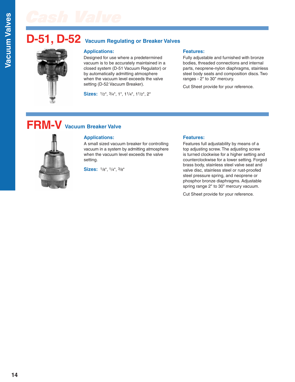## **D-51, D-52 Vacuum Regulating or Breaker Valves**



Designed for use where a predetermined vacuum is to be accurately maintained in a closed system (D-51 Vacuum Regulator) or by automatically admitting atmosphere when the vacuum level exceeds the valve setting (D-52 Vacuum Breaker).

**Sizes:** 1/2", 3/4", 1", 11/4", 11/2", 2"

### **Features:**

Fully adjustable and furnished with bronze bodies, threaded connections and internal parts, neoprene-nylon diaphragms, stainless steel body seats and composition discs. Two ranges - 2" to 30" mercury.

Cut Sheet provide for your reference.

## **FRM-V Vacuum Breaker Valve**



### **Applications:**

A small sized vacuum breaker for controlling vacuum in a system by admitting atmosphere when the vacuum level exceeds the valve setting.

**Sizes:** 1/8", 1/4", 3/8"

### **Features:**

Features full adjustability by means of a top adjusting screw. The adjusting screw is turned clockwise for a higher setting and counterclockwise for a lower setting. Forged brass body, stainless steel valve seat and valve disc, stainless steel or rust-proofed steel pressure spring, and neoprene or phosphor bronze diaphragms. Adjustable spring range 2" to 30" mercury vacuum.

Cut Sheet provide for your reference.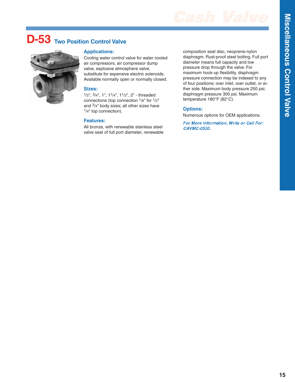**s C o**

**n t r ol**

**Valv**

**e**

## **D-53 Two Position Control Valve**



### **Applications:**

Cooling water control valve for water cooled air compressors, air compressor dump valve, explosive atmosphere valve, substitute for expensive electric solenoids. Available normally open or normally closed.

### **Sizes:**

1/2", 3/4", 1", 11/4", 11/2", 2" - threaded connections (top connection 1/8" for 1/2" and 3/4" body sizes; all other sizes have 1/4" top connection).

### **Features:**

All bronze, with renewable stainless steel valve seat of full port diameter, renewable composition seat disc, neoprene-nylon diaphragm. Rust-proof steel bolting. Full port diameter means full capacity and low pressure drop through the valve. For maximum hook-up flexibility, diaphragm pressure connection may be indexed to any of four positions: over inlet, over outlet, or either side. Maximum body pressure 250 psi; diaphragm pressure 300 psi. Maximum temperature 180°F (82°C).

### **Options:**

Numerous options for OEM applications.

For More Information, Write or Call For: CAVMC-0520.